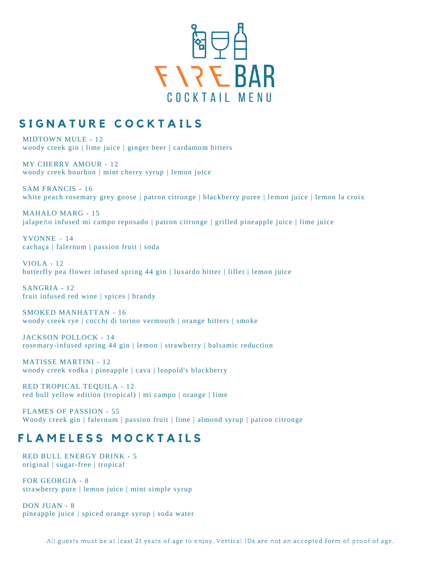

# SIGNATURE COCKTAILS

MIDTOWN MULE - 12 woody creek gin | lime juice | ginger beer | cardamom bitters

MY CHERRY AMOUR - 12 woody creek bourbon | mint cherry syrup | lemon juice

SAM FRANCIS - 16 white peach rosemary grey goose | patron citronge | blackberry puree | lemon juice | lemon la croix

MAHALO MARG - 15 jalapeño infused mi campo reposado | patron citronge | grilled pineapple juice | lime juice

YVONNE – 14 cachaça | falernum | passion fruit | soda

VIOLA - 12 butterfly pea flower infused spring 44 gin | luxardo bitter | lillet | lemon juice

SANGRIA - 12 fruit infused red wine | spices | brandy

SMOKED MANHATTAN - 16 woody creek rye | cocchi di torino vermouth | orange bitters | smoke

JACKSON POLLOCK - 14 rosemary-infused spring 44 gin | lemon | strawberry | balsamic reduction

MATISSE MARTINI - 12 woody creek vodka | pineapple | cava | leopold's blackberry

RED TROPICAL TEQUILA - 12 red bull yellow edition (tropical) | mi campo | orange | lime

FLAMES OF PASSION - 55 Woody creek gin | falernum | passion fruit | lime | almond syrup | patron citronge

# **FLAMELESS MOCKTAILS**

RED BULL ENERGY DRINK - 5 original | sugar-free | tropical

FOR GEORGIA - 8 strawberry pure | lemon juice | mint simple syrup

DON JUAN - 8 pineapple juice | spiced orange syrup | soda water

All guests must be at least 21 years of age to enjoy. Vertical IDs are not an accepted form of proof of age.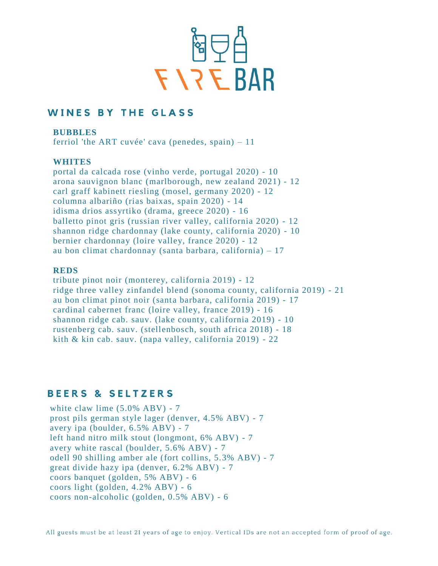

## **WINES BY THE GLASS**

**BUBBLES** 

ferriol 'the ART cuvée' cava (penedes, spain) – 11

#### **WHITES**

portal da calcada rose (vinho verde, portugal 2020) - 10 arona sauvignon blanc (marlborough, new zealand 2021) - 12 carl graff kabinett riesling (mosel, germany 2020) - 12 columna albariño (rias baixas, spain 2020) - 14 idisma drios assyrtiko (drama, greece 2020) - 16 balletto pinot gris (russian river valley, california 2020) - 12 shannon ridge chardonnay (lake county, california 2020) - 10 bernier chardonnay (loire valley, france 2020) - 12 au bon climat chardonnay (santa barbara, california) – 17

#### **REDS**

tribute pinot noir (monterey, california 2019) - 12 ridge three valley zinfandel blend (sonoma county, california 2019) - 21 au bon climat pinot noir (santa barbara, california 2019) - 17 cardinal cabernet franc (loire valley, france 2019) - 16 shannon ridge cab. sauv. (lake county, california 2019) - 10 rustenberg cab. sauv. (stellenbosch, south africa 2018) - 18 kith & kin cab. sauv. (napa valley, california 2019) - 22

## **BEERS & SELTZERS**

white claw lime  $(5.0\% \text{ ABV}) - 7$ prost pils german style lager (denver, 4.5% ABV) - 7 avery ipa (boulder, 6.5% ABV) - 7 left hand nitro milk stout (longmont, 6% ABV) - 7 avery white rascal (boulder, 5.6% ABV) - 7 odell 90 shilling amber ale (fort collins, 5.3% ABV) - 7 great divide hazy ipa (denver, 6.2% ABV) - 7 coors banquet (golden, 5% ABV) - 6 coors light (golden, 4.2% ABV) - 6 coors non-alcoholic (golden, 0.5% ABV) - 6